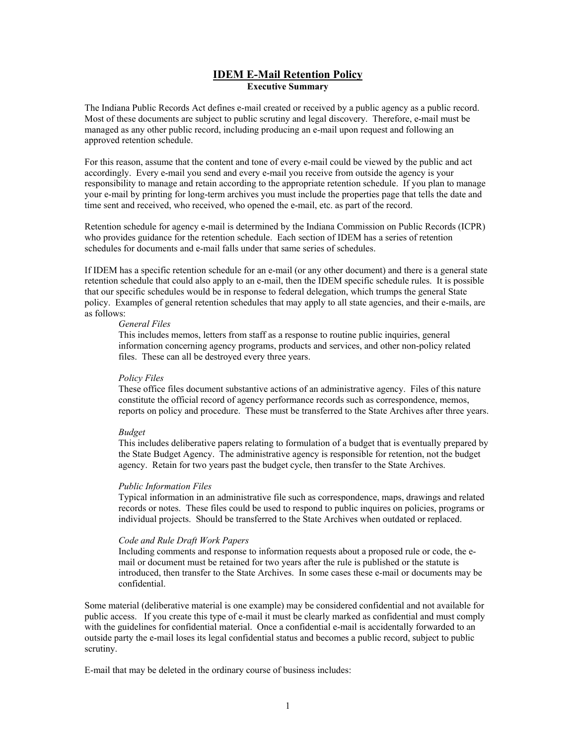### **IDEM E-Mail Retention Policy Executive Summary**

The Indiana Public Records Act defines e-mail created or received by a public agency as a public record. Most of these documents are subject to public scrutiny and legal discovery. Therefore, e-mail must be managed as any other public record, including producing an e-mail upon request and following an approved retention schedule.

For this reason, assume that the content and tone of every e-mail could be viewed by the public and act accordingly. Every e-mail you send and every e-mail you receive from outside the agency is your responsibility to manage and retain according to the appropriate retention schedule. If you plan to manage your e-mail by printing for long-term archives you must include the properties page that tells the date and time sent and received, who received, who opened the e-mail, etc. as part of the record.

Retention schedule for agency e-mail is determined by the Indiana Commission on Public Records (ICPR) who provides guidance for the retention schedule. Each section of IDEM has a series of retention schedules for documents and e-mail falls under that same series of schedules.

If IDEM has a specific retention schedule for an e-mail (or any other document) and there is a general state retention schedule that could also apply to an e-mail, then the IDEM specific schedule rules. It is possible that our specific schedules would be in response to federal delegation, which trumps the general State policy. Examples of general retention schedules that may apply to all state agencies, and their e-mails, are as follows:

#### *General Files*

This includes memos, letters from staff as a response to routine public inquiries, general information concerning agency programs, products and services, and other non-policy related files. These can all be destroyed every three years.

### *Policy Files*

These office files document substantive actions of an administrative agency. Files of this nature constitute the official record of agency performance records such as correspondence, memos, reports on policy and procedure. These must be transferred to the State Archives after three years.

### *Budget*

This includes deliberative papers relating to formulation of a budget that is eventually prepared by the State Budget Agency. The administrative agency is responsible for retention, not the budget agency. Retain for two years past the budget cycle, then transfer to the State Archives.

### *Public Information Files*

Typical information in an administrative file such as correspondence, maps, drawings and related records or notes. These files could be used to respond to public inquires on policies, programs or individual projects. Should be transferred to the State Archives when outdated or replaced.

### *Code and Rule Draft Work Papers*

Including comments and response to information requests about a proposed rule or code, the email or document must be retained for two years after the rule is published or the statute is introduced, then transfer to the State Archives. In some cases these e-mail or documents may be confidential.

Some material (deliberative material is one example) may be considered confidential and not available for public access.If you create this type of e-mail it must be clearly marked as confidential and must comply with the guidelines for confidential material. Once a confidential e-mail is accidentally forwarded to an outside party the e-mail loses its legal confidential status and becomes a public record, subject to public scrutiny.

E-mail that may be deleted in the ordinary course of business includes: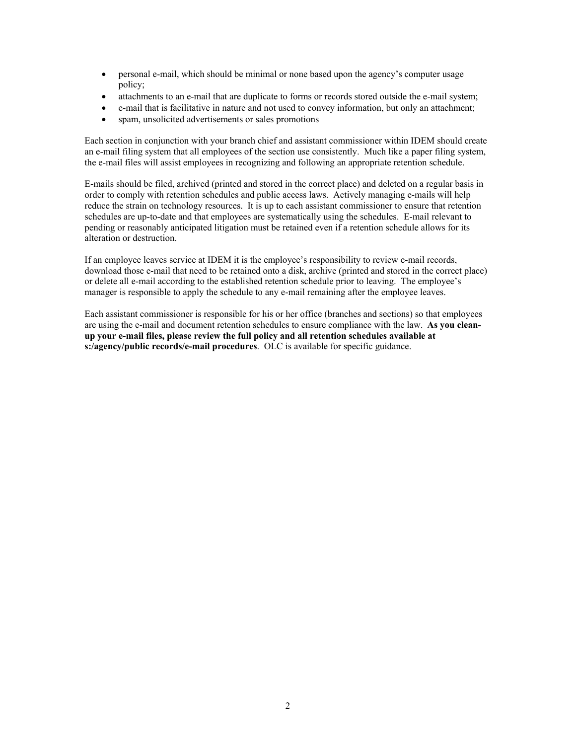- personal e-mail, which should be minimal or none based upon the agency's computer usage policy;
- attachments to an e-mail that are duplicate to forms or records stored outside the e-mail system;
- e-mail that is facilitative in nature and not used to convey information, but only an attachment;
- spam, unsolicited advertisements or sales promotions

Each section in conjunction with your branch chief and assistant commissioner within IDEM should create an e-mail filing system that all employees of the section use consistently. Much like a paper filing system, the e-mail files will assist employees in recognizing and following an appropriate retention schedule.

E-mails should be filed, archived (printed and stored in the correct place) and deleted on a regular basis in order to comply with retention schedules and public access laws. Actively managing e-mails will help reduce the strain on technology resources. It is up to each assistant commissioner to ensure that retention schedules are up-to-date and that employees are systematically using the schedules. E-mail relevant to pending or reasonably anticipated litigation must be retained even if a retention schedule allows for its alteration or destruction.

If an employee leaves service at IDEM it is the employee's responsibility to review e-mail records, download those e-mail that need to be retained onto a disk, archive (printed and stored in the correct place) or delete all e-mail according to the established retention schedule prior to leaving. The employee's manager is responsible to apply the schedule to any e-mail remaining after the employee leaves.

Each assistant commissioner is responsible for his or her office (branches and sections) so that employees are using the e-mail and document retention schedules to ensure compliance with the law. **As you cleanup your e-mail files, please review the full policy and all retention schedules available at s:/agency/public records/e-mail procedures**. OLC is available for specific guidance.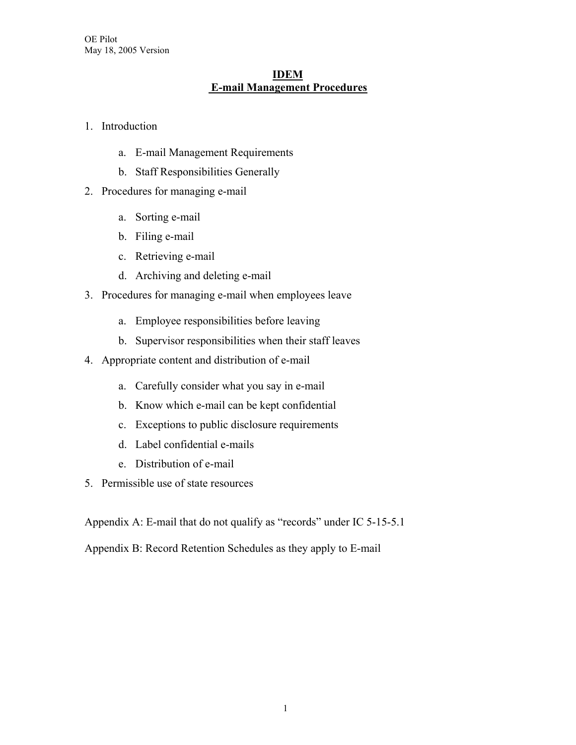# **IDEM E-mail Management Procedures**

# 1. Introduction

- a. E-mail Management Requirements
- b. Staff Responsibilities Generally
- 2. Procedures for managing e-mail
	- a. Sorting e-mail
	- b. Filing e-mail
	- c. Retrieving e-mail
	- d. Archiving and deleting e-mail
- 3. Procedures for managing e-mail when employees leave
	- a. Employee responsibilities before leaving
	- b. Supervisor responsibilities when their staff leaves
- 4. Appropriate content and distribution of e-mail
	- a. Carefully consider what you say in e-mail
	- b. Know which e-mail can be kept confidential
	- c. Exceptions to public disclosure requirements
	- d. Label confidential e-mails
	- e. Distribution of e-mail
- 5. Permissible use of state resources

Appendix A: E-mail that do not qualify as "records" under IC 5-15-5.1

Appendix B: Record Retention Schedules as they apply to E-mail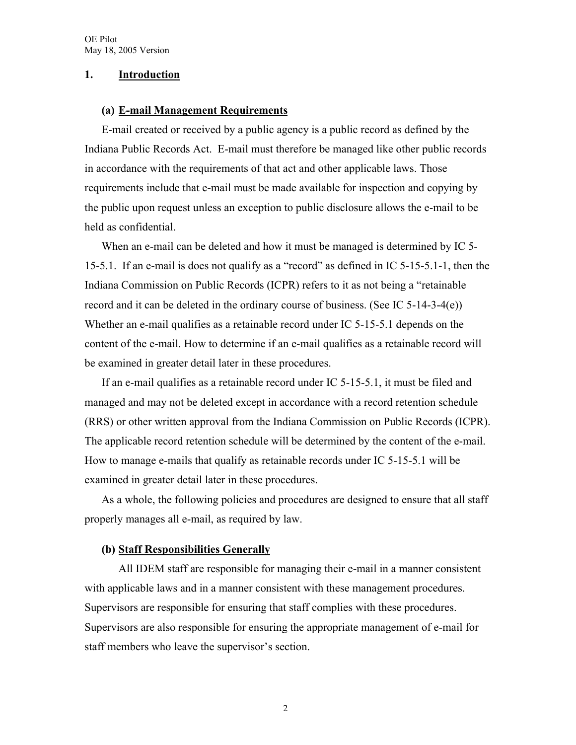## **1. Introduction**

### **(a) E-mail Management Requirements**

E-mail created or received by a public agency is a public record as defined by the Indiana Public Records Act. E-mail must therefore be managed like other public records in accordance with the requirements of that act and other applicable laws. Those requirements include that e-mail must be made available for inspection and copying by the public upon request unless an exception to public disclosure allows the e-mail to be held as confidential.

When an e-mail can be deleted and how it must be managed is determined by IC 5-15-5.1. If an e-mail is does not qualify as a "record" as defined in IC 5-15-5.1-1, then the Indiana Commission on Public Records (ICPR) refers to it as not being a "retainable record and it can be deleted in the ordinary course of business. (See IC 5-14-3-4(e)) Whether an e-mail qualifies as a retainable record under IC 5-15-5.1 depends on the content of the e-mail. How to determine if an e-mail qualifies as a retainable record will be examined in greater detail later in these procedures.

If an e-mail qualifies as a retainable record under IC 5-15-5.1, it must be filed and managed and may not be deleted except in accordance with a record retention schedule (RRS) or other written approval from the Indiana Commission on Public Records (ICPR). The applicable record retention schedule will be determined by the content of the e-mail. How to manage e-mails that qualify as retainable records under IC 5-15-5.1 will be examined in greater detail later in these procedures.

As a whole, the following policies and procedures are designed to ensure that all staff properly manages all e-mail, as required by law.

## **(b) Staff Responsibilities Generally**

All IDEM staff are responsible for managing their e-mail in a manner consistent with applicable laws and in a manner consistent with these management procedures. Supervisors are responsible for ensuring that staff complies with these procedures. Supervisors are also responsible for ensuring the appropriate management of e-mail for staff members who leave the supervisor's section.

2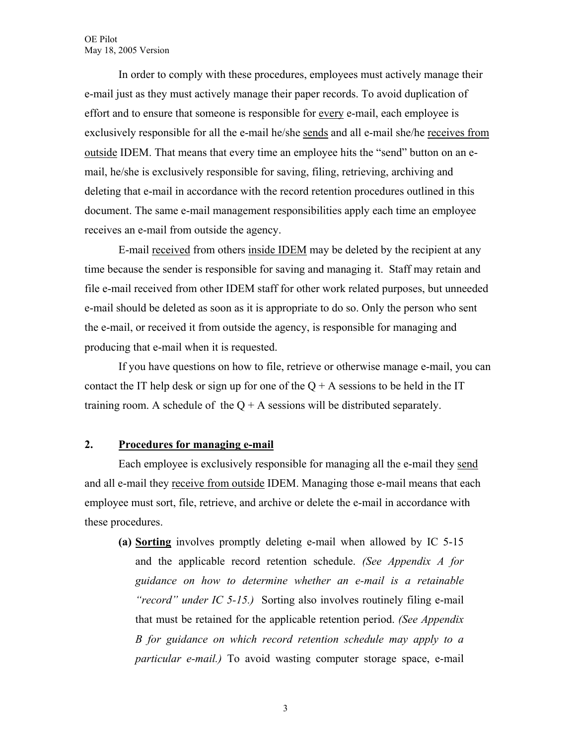In order to comply with these procedures, employees must actively manage their e-mail just as they must actively manage their paper records. To avoid duplication of effort and to ensure that someone is responsible for <u>every</u> e-mail, each employee is exclusively responsible for all the e-mail he/she sends and all e-mail she/he receives from outside IDEM. That means that every time an employee hits the "send" button on an email, he/she is exclusively responsible for saving, filing, retrieving, archiving and deleting that e-mail in accordance with the record retention procedures outlined in this document. The same e-mail management responsibilities apply each time an employee receives an e-mail from outside the agency.

E-mail received from others inside IDEM may be deleted by the recipient at any time because the sender is responsible for saving and managing it. Staff may retain and file e-mail received from other IDEM staff for other work related purposes, but unneeded e-mail should be deleted as soon as it is appropriate to do so. Only the person who sent the e-mail, or received it from outside the agency, is responsible for managing and producing that e-mail when it is requested.

If you have questions on how to file, retrieve or otherwise manage e-mail, you can contact the IT help desk or sign up for one of the  $Q + A$  sessions to be held in the IT training room. A schedule of the  $Q + A$  sessions will be distributed separately.

# **2. Procedures for managing e-mail**

Each employee is exclusively responsible for managing all the e-mail they send and all e-mail they receive from outside IDEM. Managing those e-mail means that each employee must sort, file, retrieve, and archive or delete the e-mail in accordance with these procedures.

**(a) Sorting** involves promptly deleting e-mail when allowed by IC 5-15 and the applicable record retention schedule. *(See Appendix A for guidance on how to determine whether an e-mail is a retainable "record" under IC 5-15.)* Sorting also involves routinely filing e-mail that must be retained for the applicable retention period. *(See Appendix B for guidance on which record retention schedule may apply to a particular e-mail.)* To avoid wasting computer storage space, e-mail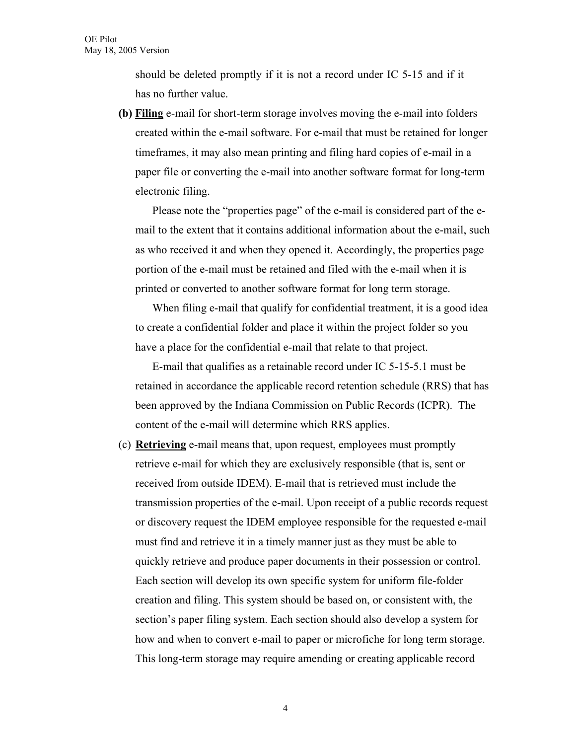should be deleted promptly if it is not a record under IC 5-15 and if it has no further value.

**(b) Filing** e-mail for short-term storage involves moving the e-mail into folders created within the e-mail software. For e-mail that must be retained for longer timeframes, it may also mean printing and filing hard copies of e-mail in a paper file or converting the e-mail into another software format for long-term electronic filing.

Please note the "properties page" of the e-mail is considered part of the email to the extent that it contains additional information about the e-mail, such as who received it and when they opened it. Accordingly, the properties page portion of the e-mail must be retained and filed with the e-mail when it is printed or converted to another software format for long term storage.

When filing e-mail that qualify for confidential treatment, it is a good idea to create a confidential folder and place it within the project folder so you have a place for the confidential e-mail that relate to that project.

E-mail that qualifies as a retainable record under IC 5-15-5.1 must be retained in accordance the applicable record retention schedule (RRS) that has been approved by the Indiana Commission on Public Records (ICPR). The content of the e-mail will determine which RRS applies.

(c) **Retrieving** e-mail means that, upon request, employees must promptly retrieve e-mail for which they are exclusively responsible (that is, sent or received from outside IDEM). E-mail that is retrieved must include the transmission properties of the e-mail. Upon receipt of a public records request or discovery request the IDEM employee responsible for the requested e-mail must find and retrieve it in a timely manner just as they must be able to quickly retrieve and produce paper documents in their possession or control. Each section will develop its own specific system for uniform file-folder creation and filing. This system should be based on, or consistent with, the section's paper filing system. Each section should also develop a system for how and when to convert e-mail to paper or microfiche for long term storage. This long-term storage may require amending or creating applicable record

4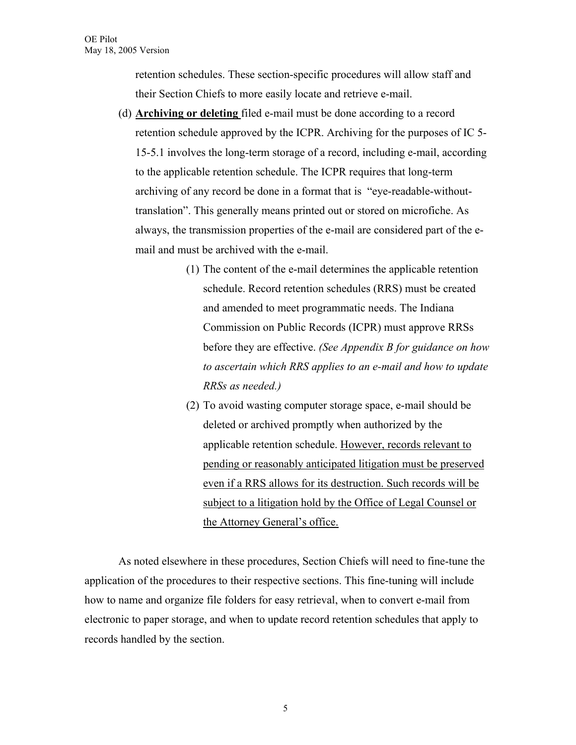retention schedules. These section-specific procedures will allow staff and their Section Chiefs to more easily locate and retrieve e-mail.

- (d) **Archiving or deleting** filed e-mail must be done according to a record retention schedule approved by the ICPR. Archiving for the purposes of IC 5- 15-5.1 involves the long-term storage of a record, including e-mail, according to the applicable retention schedule. The ICPR requires that long-term archiving of any record be done in a format that is "eye-readable-withouttranslation". This generally means printed out or stored on microfiche. As always, the transmission properties of the e-mail are considered part of the email and must be archived with the e-mail.
	- (1) The content of the e-mail determines the applicable retention schedule. Record retention schedules (RRS) must be created and amended to meet programmatic needs. The Indiana Commission on Public Records (ICPR) must approve RRSs before they are effective. *(See Appendix B for guidance on how to ascertain which RRS applies to an e-mail and how to update RRSs as needed.)*
	- (2) To avoid wasting computer storage space, e-mail should be deleted or archived promptly when authorized by the applicable retention schedule. However, records relevant to pending or reasonably anticipated litigation must be preserved even if a RRS allows for its destruction. Such records will be subject to a litigation hold by the Office of Legal Counsel or the Attorney General's office.

As noted elsewhere in these procedures, Section Chiefs will need to fine-tune the application of the procedures to their respective sections. This fine-tuning will include how to name and organize file folders for easy retrieval, when to convert e-mail from electronic to paper storage, and when to update record retention schedules that apply to records handled by the section.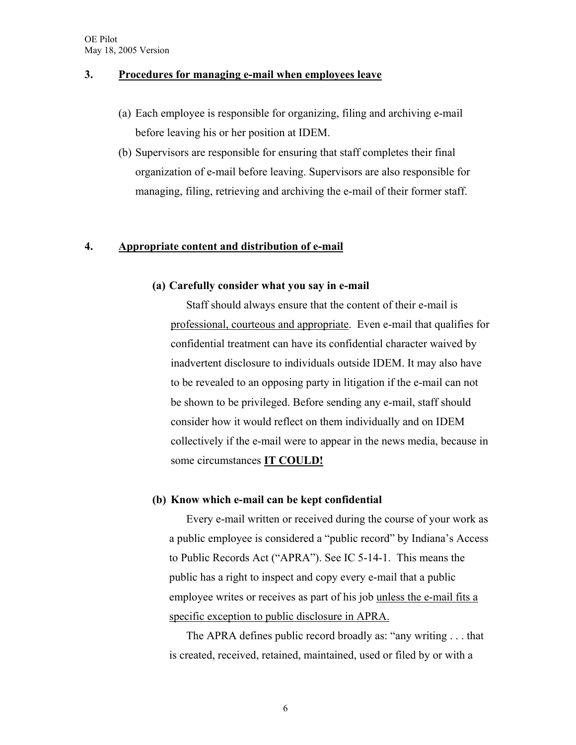## **3. Procedures for managing e-mail when employees leave**

- (a) Each employee is responsible for organizing, filing and archiving e-mail before leaving his or her position at IDEM.
- (b) Supervisors are responsible for ensuring that staff completes their final organization of e-mail before leaving. Supervisors are also responsible for managing, filing, retrieving and archiving the e-mail of their former staff.

## **4. Appropriate content and distribution of e-mail**

## **(a) Carefully consider what you say in e-mail**

Staff should always ensure that the content of their e-mail is professional, courteous and appropriate. Even e-mail that qualifies for confidential treatment can have its confidential character waived by inadvertent disclosure to individuals outside IDEM. It may also have to be revealed to an opposing party in litigation if the e-mail can not be shown to be privileged. Before sending any e-mail, staff should consider how it would reflect on them individually and on IDEM collectively if the e-mail were to appear in the news media, because in some circumstances **IT COULD!** 

## **(b) Know which e-mail can be kept confidential**

Every e-mail written or received during the course of your work as a public employee is considered a "public record" by Indiana's Access to Public Records Act ("APRA"). See IC 5-14-1. This means the public has a right to inspect and copy every e-mail that a public employee writes or receives as part of his job unless the e-mail fits a specific exception to public disclosure in APRA.

 The APRA defines public record broadly as: "any writing . . . that is created, received, retained, maintained, used or filed by or with a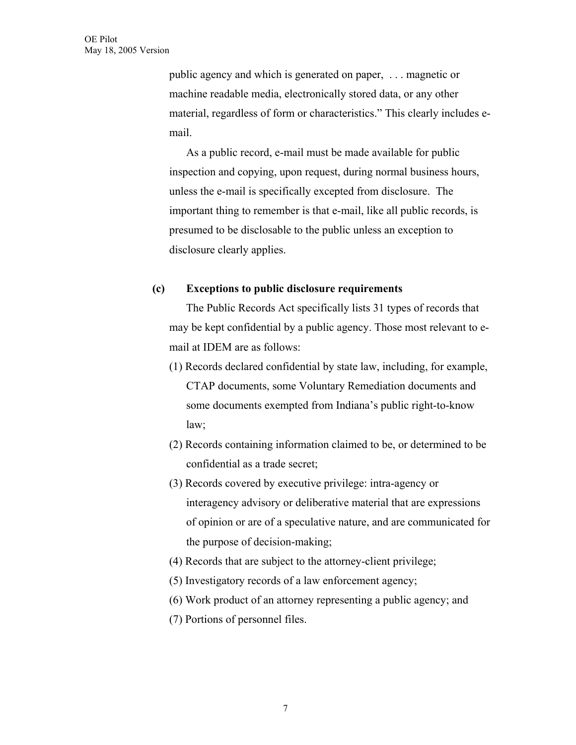public agency and which is generated on paper, . . . magnetic or machine readable media, electronically stored data, or any other material, regardless of form or characteristics." This clearly includes email.

As a public record, e-mail must be made available for public inspection and copying, upon request, during normal business hours, unless the e-mail is specifically excepted from disclosure. The important thing to remember is that e-mail, like all public records, is presumed to be disclosable to the public unless an exception to disclosure clearly applies.

## **(c) Exceptions to public disclosure requirements**

 The Public Records Act specifically lists 31 types of records that may be kept confidential by a public agency. Those most relevant to email at IDEM are as follows:

- (1) Records declared confidential by state law, including, for example, CTAP documents, some Voluntary Remediation documents and some documents exempted from Indiana's public right-to-know law;
- (2) Records containing information claimed to be, or determined to be confidential as a trade secret;
- (3) Records covered by executive privilege: intra-agency or interagency advisory or deliberative material that are expressions of opinion or are of a speculative nature, and are communicated for the purpose of decision-making;
- (4) Records that are subject to the attorney-client privilege;
- (5) Investigatory records of a law enforcement agency;
- (6) Work product of an attorney representing a public agency; and
- (7) Portions of personnel files.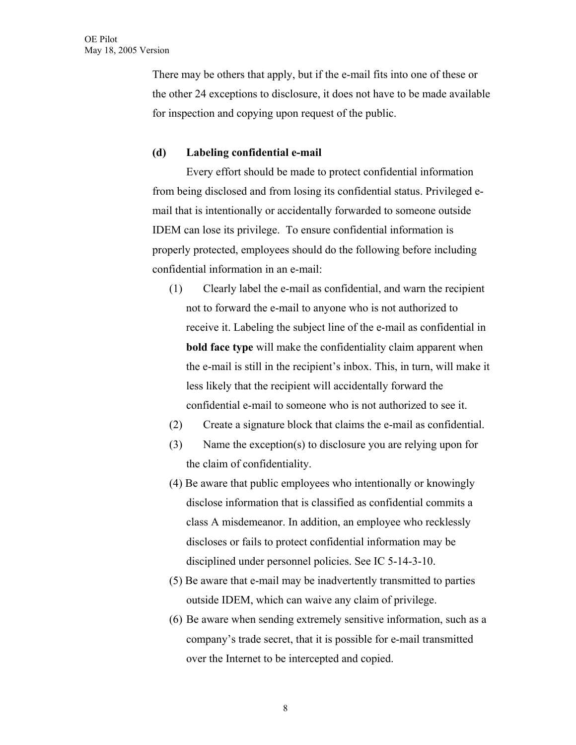There may be others that apply, but if the e-mail fits into one of these or the other 24 exceptions to disclosure, it does not have to be made available for inspection and copying upon request of the public.

# **(d) Labeling confidential e-mail**

Every effort should be made to protect confidential information from being disclosed and from losing its confidential status. Privileged email that is intentionally or accidentally forwarded to someone outside IDEM can lose its privilege. To ensure confidential information is properly protected, employees should do the following before including confidential information in an e-mail:

- (1) Clearly label the e-mail as confidential, and warn the recipient not to forward the e-mail to anyone who is not authorized to receive it. Labeling the subject line of the e-mail as confidential in **bold face type** will make the confidentiality claim apparent when the e-mail is still in the recipient's inbox. This, in turn, will make it less likely that the recipient will accidentally forward the confidential e-mail to someone who is not authorized to see it.
- (2) Create a signature block that claims the e-mail as confidential.
- (3) Name the exception(s) to disclosure you are relying upon for the claim of confidentiality.
- (4) Be aware that public employees who intentionally or knowingly disclose information that is classified as confidential commits a class A misdemeanor. In addition, an employee who recklessly discloses or fails to protect confidential information may be disciplined under personnel policies. See IC 5-14-3-10.
- (5) Be aware that e-mail may be inadvertently transmitted to parties outside IDEM, which can waive any claim of privilege.
- (6) Be aware when sending extremely sensitive information, such as a company's trade secret, that it is possible for e-mail transmitted over the Internet to be intercepted and copied.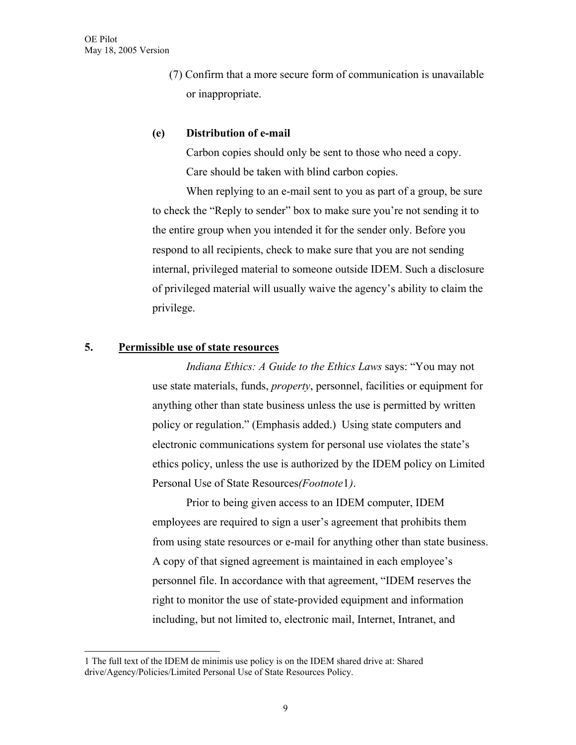(7) Confirm that a more secure form of communication is unavailable or inappropriate.

## **(e) Distribution of e-mail**

Carbon copies should only be sent to those who need a copy. Care should be taken with blind carbon copies.

 When replying to an e-mail sent to you as part of a group, be sure to check the "Reply to sender" box to make sure you're not sending it to the entire group when you intended it for the sender only. Before you respond to all recipients, check to make sure that you are not sending internal, privileged material to someone outside IDEM. Such a disclosure of privileged material will usually waive the agency's ability to claim the privilege.

# **5. Permissible use of state resources**

 $\overline{a}$ 

 *Indiana Ethics: A Guide to the Ethics Laws* says: "You may not use state materials, funds, *property*, personnel, facilities or equipment for anything other than state business unless the use is permitted by written policy or regulation." (Emphasis added.) Using state computers and electronic communications system for personal use violates the state's ethics policy, unless the use is authorized by the IDEM policy on Limited Personal Use of State Resources*(Footnote*[1](#page-10-0)*)*.

Prior to being given access to an IDEM computer, IDEM employees are required to sign a user's agreement that prohibits them from using state resources or e-mail for anything other than state business. A copy of that signed agreement is maintained in each employee's personnel file. In accordance with that agreement, "IDEM reserves the right to monitor the use of state-provided equipment and information including, but not limited to, electronic mail, Internet, Intranet, and

<span id="page-10-0"></span><sup>1</sup> The full text of the IDEM de minimis use policy is on the IDEM shared drive at: Shared drive/Agency/Policies/Limited Personal Use of State Resources Policy.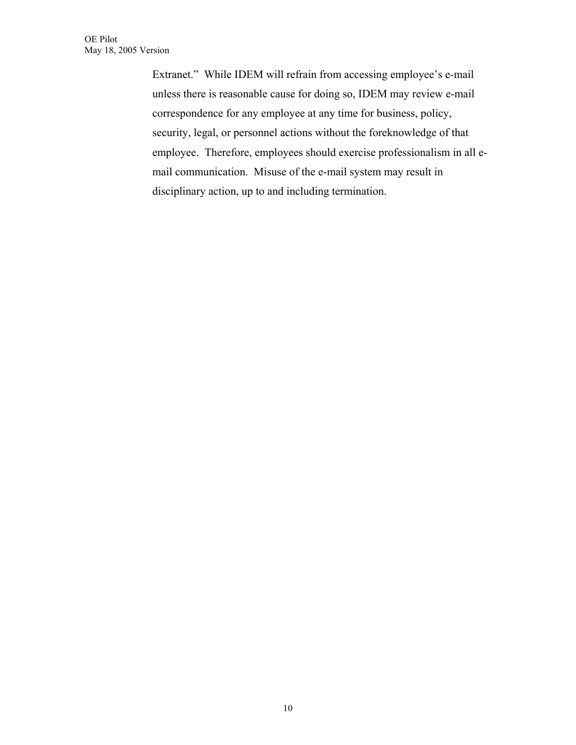Extranet." While IDEM will refrain from accessing employee's e-mail unless there is reasonable cause for doing so, IDEM may review e-mail correspondence for any employee at any time for business, policy, security, legal, or personnel actions without the foreknowledge of that employee. Therefore, employees should exercise professionalism in all email communication. Misuse of the e-mail system may result in disciplinary action, up to and including termination.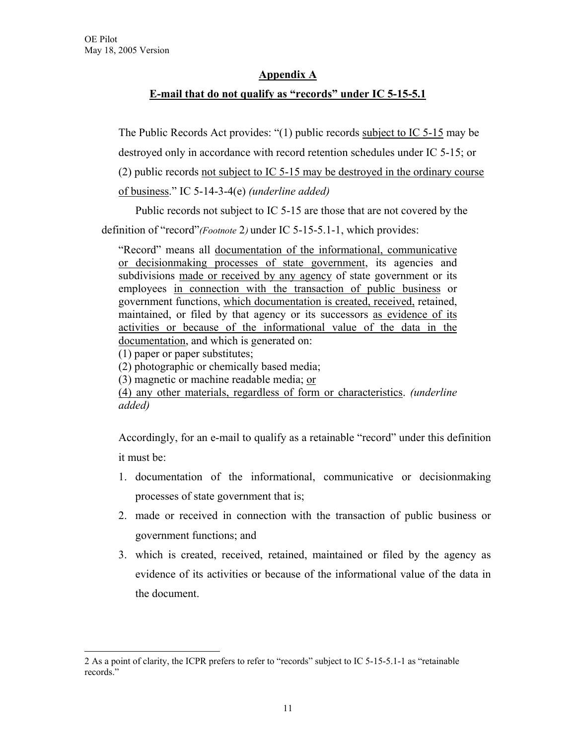# **Appendix A**

# **E-mail that do not qualify as "records" under IC 5-15-5.1**

The Public Records Act provides: "(1) public records subject to IC 5-15 may be destroyed only in accordance with record retention schedules under IC 5-15; or (2) public records not subject to IC 5-15 may be destroyed in the ordinary course

of business." IC 5-14-3-4(e) *(underline added)*

Public records not subject to IC 5-15 are those that are not covered by the

definition of "record"*(Footnote* [2](#page-12-0)*)* under IC 5-15-5.1-1, which provides:

"Record" means all documentation of the informational, communicative or decisionmaking processes of state government, its agencies and subdivisions made or received by any agency of state government or its employees in connection with the transaction of public business or government functions, which documentation is created, received, retained, maintained, or filed by that agency or its successors as evidence of its activities or because of the informational value of the data in the documentation, and which is generated on:

(1) paper or paper substitutes;

 $\overline{a}$ 

(2) photographic or chemically based media;

(3) magnetic or machine readable media; or

(4) any other materials, regardless of form or characteristics. *(underline added)* 

Accordingly, for an e-mail to qualify as a retainable "record" under this definition it must be:

- 1. documentation of the informational, communicative or decisionmaking processes of state government that is;
- 2. made or received in connection with the transaction of public business or government functions; and
- 3. which is created, received, retained, maintained or filed by the agency as evidence of its activities or because of the informational value of the data in the document.

<span id="page-12-0"></span><sup>2</sup> As a point of clarity, the ICPR prefers to refer to "records" subject to IC 5-15-5.1-1 as "retainable records."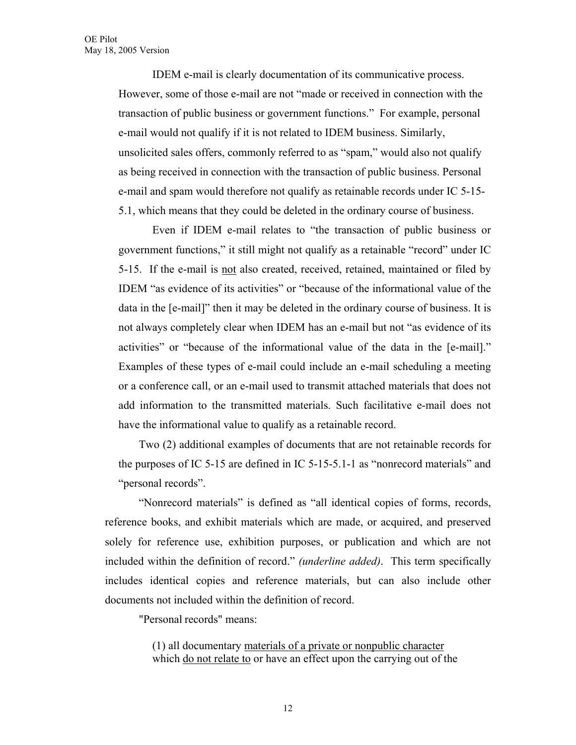IDEM e-mail is clearly documentation of its communicative process. However, some of those e-mail are not "made or received in connection with the transaction of public business or government functions." For example, personal e-mail would not qualify if it is not related to IDEM business. Similarly, unsolicited sales offers, commonly referred to as "spam," would also not qualify as being received in connection with the transaction of public business. Personal e-mail and spam would therefore not qualify as retainable records under IC 5-15- 5.1, which means that they could be deleted in the ordinary course of business.

Even if IDEM e-mail relates to "the transaction of public business or government functions," it still might not qualify as a retainable "record" under IC 5-15. If the e-mail is not also created, received, retained, maintained or filed by IDEM "as evidence of its activities" or "because of the informational value of the data in the [e-mail]" then it may be deleted in the ordinary course of business. It is not always completely clear when IDEM has an e-mail but not "as evidence of its activities" or "because of the informational value of the data in the [e-mail]." Examples of these types of e-mail could include an e-mail scheduling a meeting or a conference call, or an e-mail used to transmit attached materials that does not add information to the transmitted materials. Such facilitative e-mail does not have the informational value to qualify as a retainable record.

Two (2) additional examples of documents that are not retainable records for the purposes of IC 5-15 are defined in IC 5-15-5.1-1 as "nonrecord materials" and "personal records".

"Nonrecord materials" is defined as "all identical copies of forms, records, reference books, and exhibit materials which are made, or acquired, and preserved solely for reference use, exhibition purposes, or publication and which are not included within the definition of record." *(underline added)*. This term specifically includes identical copies and reference materials, but can also include other documents not included within the definition of record.

"Personal records" means:

(1) all documentary materials of a private or nonpublic character which do not relate to or have an effect upon the carrying out of the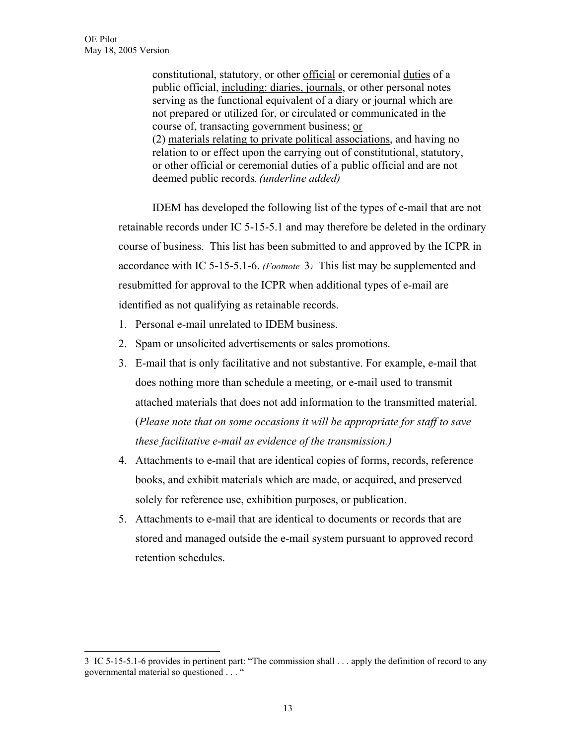$\overline{a}$ 

constitutional, statutory, or other official or ceremonial duties of a public official, including: diaries, journals, or other personal notes serving as the functional equivalent of a diary or journal which are not prepared or utilized for, or circulated or communicated in the course of, transacting government business; or (2) materials relating to private political associations, and having no relation to or effect upon the carrying out of constitutional, statutory, or other official or ceremonial duties of a public official and are not deemed public records. *(underline added)* 

IDEM has developed the following list of the types of e-mail that are not retainable records under IC 5-15-5.1 and may therefore be deleted in the ordinary course of business. This list has been submitted to and approved by the ICPR in accordance with IC 5-15-5.1-6. *(Footnote* [3](#page-14-0)*)* This list may be supplemented and resubmitted for approval to the ICPR when additional types of e-mail are identified as not qualifying as retainable records.

- 1. Personal e-mail unrelated to IDEM business.
- 2. Spam or unsolicited advertisements or sales promotions.
- 3. E-mail that is only facilitative and not substantive. For example, e-mail that does nothing more than schedule a meeting, or e-mail used to transmit attached materials that does not add information to the transmitted material. (*Please note that on some occasions it will be appropriate for staff to save these facilitative e-mail as evidence of the transmission.)*
- 4. Attachments to e-mail that are identical copies of forms, records, reference books, and exhibit materials which are made, or acquired, and preserved solely for reference use, exhibition purposes, or publication.
- 5. Attachments to e-mail that are identical to documents or records that are stored and managed outside the e-mail system pursuant to approved record retention schedules.

<span id="page-14-0"></span><sup>3</sup> IC 5-15-5.1-6 provides in pertinent part: "The commission shall . . . apply the definition of record to any governmental material so questioned . . . "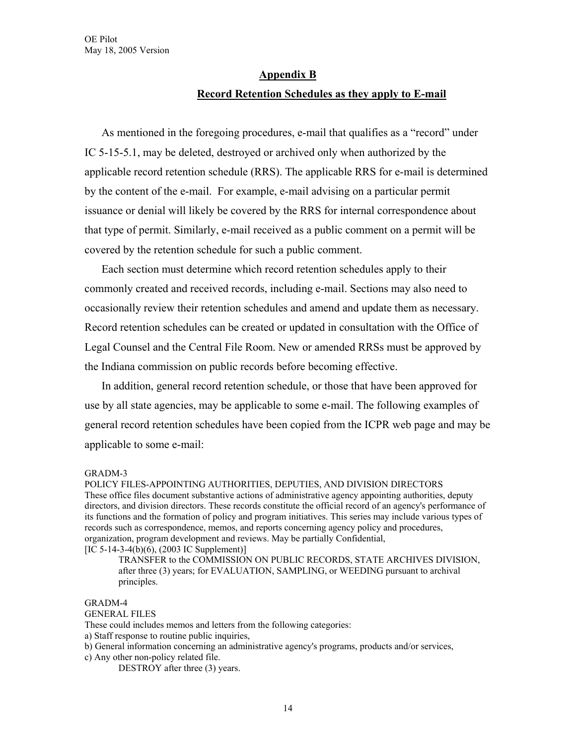## **Appendix B**

## **Record Retention Schedules as they apply to E-mail**

As mentioned in the foregoing procedures, e-mail that qualifies as a "record" under IC 5-15-5.1, may be deleted, destroyed or archived only when authorized by the applicable record retention schedule (RRS). The applicable RRS for e-mail is determined by the content of the e-mail. For example, e-mail advising on a particular permit issuance or denial will likely be covered by the RRS for internal correspondence about that type of permit. Similarly, e-mail received as a public comment on a permit will be covered by the retention schedule for such a public comment.

Each section must determine which record retention schedules apply to their commonly created and received records, including e-mail. Sections may also need to occasionally review their retention schedules and amend and update them as necessary. Record retention schedules can be created or updated in consultation with the Office of Legal Counsel and the Central File Room. New or amended RRSs must be approved by the Indiana commission on public records before becoming effective.

In addition, general record retention schedule, or those that have been approved for use by all state agencies, may be applicable to some e-mail. The following examples of general record retention schedules have been copied from the ICPR web page and may be applicable to some e-mail:

### GRADM-3

POLICY FILES-APPOINTING AUTHORITIES, DEPUTIES, AND DIVISION DIRECTORS These office files document substantive actions of administrative agency appointing authorities, deputy directors, and division directors. These records constitute the official record of an agency's performance of its functions and the formation of policy and program initiatives. This series may include various types of records such as correspondence, memos, and reports concerning agency policy and procedures, organization, program development and reviews. May be partially Confidential,  $[IC 5-14-3-4(b)(6), (2003 IC Supplement)]$ 

TRANSFER to the COMMISSION ON PUBLIC RECORDS, STATE ARCHIVES DIVISION, after three (3) years; for EVALUATION, SAMPLING, or WEEDING pursuant to archival principles.

### GRADM-4

### GENERAL FILES

These could includes memos and letters from the following categories:

a) Staff response to routine public inquiries,

b) General information concerning an administrative agency's programs, products and/or services,

c) Any other non-policy related file.

DESTROY after three (3) years.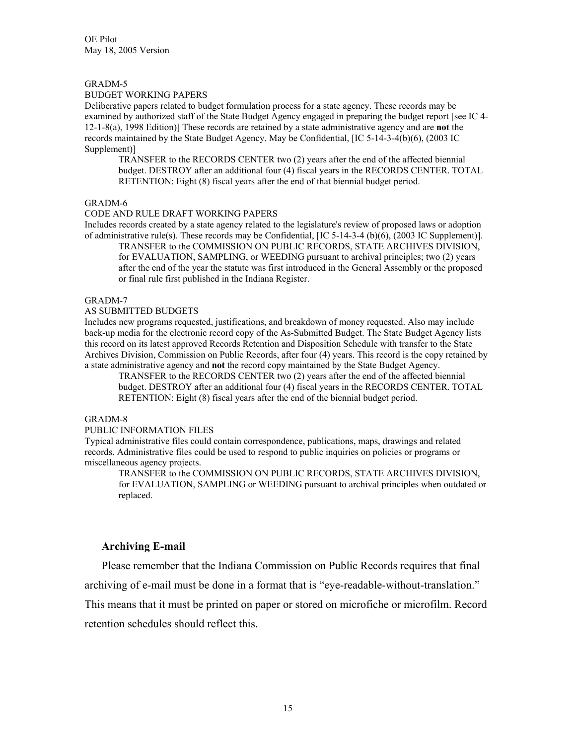OE Pilot May 18, 2005 Version

#### GRADM-5

### BUDGET WORKING PAPERS

Deliberative papers related to budget formulation process for a state agency. These records may be examined by authorized staff of the State Budget Agency engaged in preparing the budget report [see IC 4- 12-1-8(a), 1998 Edition)] These records are retained by a state administrative agency and are **not** the records maintained by the State Budget Agency. May be Confidential, [IC 5-14-3-4(b)(6), (2003 IC Supplement)]

TRANSFER to the RECORDS CENTER two (2) years after the end of the affected biennial budget. DESTROY after an additional four (4) fiscal years in the RECORDS CENTER. TOTAL RETENTION: Eight (8) fiscal years after the end of that biennial budget period.

### GRADM-6

#### CODE AND RULE DRAFT WORKING PAPERS

Includes records created by a state agency related to the legislature's review of proposed laws or adoption of administrative rule(s). These records may be Confidential, [IC 5-14-3-4 (b)(6), (2003 IC Supplement)].

TRANSFER to the COMMISSION ON PUBLIC RECORDS, STATE ARCHIVES DIVISION, for EVALUATION, SAMPLING, or WEEDING pursuant to archival principles; two (2) years after the end of the year the statute was first introduced in the General Assembly or the proposed or final rule first published in the Indiana Register.

### GRADM-7

### AS SUBMITTED BUDGETS

Includes new programs requested, justifications, and breakdown of money requested. Also may include back-up media for the electronic record copy of the As-Submitted Budget. The State Budget Agency lists this record on its latest approved Records Retention and Disposition Schedule with transfer to the State Archives Division, Commission on Public Records, after four (4) years. This record is the copy retained by a state administrative agency and **not** the record copy maintained by the State Budget Agency.

TRANSFER to the RECORDS CENTER two (2) years after the end of the affected biennial budget. DESTROY after an additional four (4) fiscal years in the RECORDS CENTER. TOTAL RETENTION: Eight (8) fiscal years after the end of the biennial budget period.

### GRADM-8

#### PUBLIC INFORMATION FILES

Typical administrative files could contain correspondence, publications, maps, drawings and related records. Administrative files could be used to respond to public inquiries on policies or programs or miscellaneous agency projects.

TRANSFER to the COMMISSION ON PUBLIC RECORDS, STATE ARCHIVES DIVISION, for EVALUATION, SAMPLING or WEEDING pursuant to archival principles when outdated or replaced.

### **Archiving E-mail**

Please remember that the Indiana Commission on Public Records requires that final

archiving of e-mail must be done in a format that is "eye-readable-without-translation."

This means that it must be printed on paper or stored on microfiche or microfilm. Record retention schedules should reflect this.